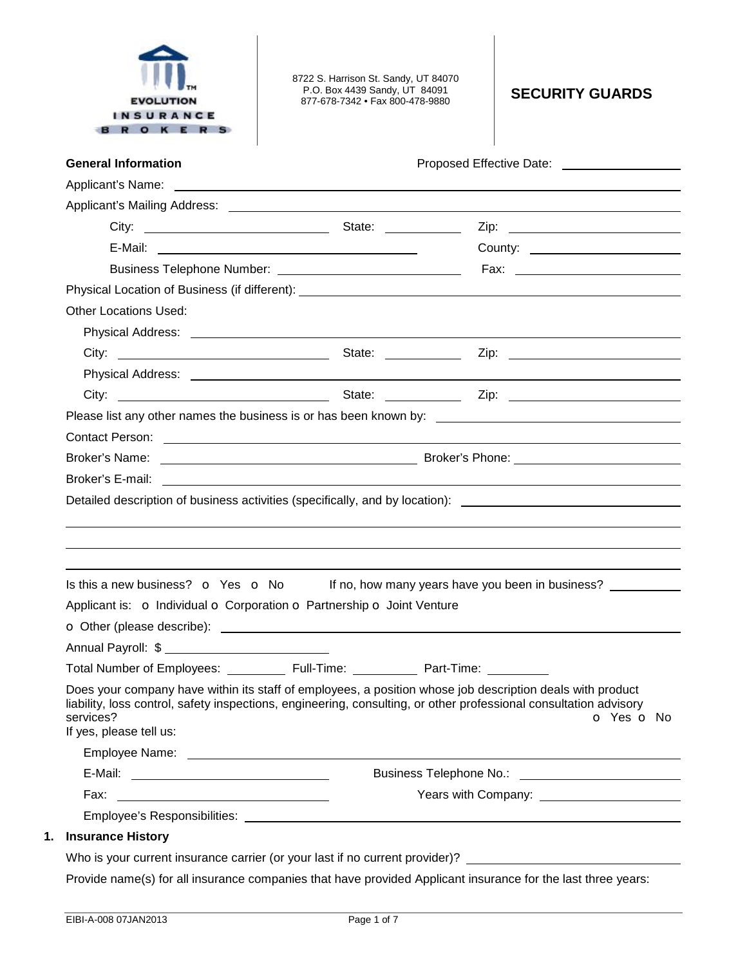

8722 S. Harrison St. Sandy, UT 84070 P.O. Box 4439 Sandy, UT 84091 877-678-7342 • Fax 800-478-9880 **SECURITY GUARDS** 

| <b>General Information</b>                                                                                                                                                                                                    | Proposed Effective Date: ____________________                                                                                                                                                                                                |
|-------------------------------------------------------------------------------------------------------------------------------------------------------------------------------------------------------------------------------|----------------------------------------------------------------------------------------------------------------------------------------------------------------------------------------------------------------------------------------------|
|                                                                                                                                                                                                                               | Applicant's Name: <u>example and the set of the set of the set of the set of the set of the set of the set of the set of the set of the set of the set of the set of the set of the set of the set of the set of the set of the </u>         |
|                                                                                                                                                                                                                               |                                                                                                                                                                                                                                              |
| City: City: City: City: City: City: City: City: City: City: City: City: City: City: City: City: City: City: City: City: City: City: City: City: City: City: City: City: City: City: City: City: City: City: City: City: City: |                                                                                                                                                                                                                                              |
|                                                                                                                                                                                                                               |                                                                                                                                                                                                                                              |
|                                                                                                                                                                                                                               |                                                                                                                                                                                                                                              |
|                                                                                                                                                                                                                               |                                                                                                                                                                                                                                              |
| <b>Other Locations Used:</b>                                                                                                                                                                                                  |                                                                                                                                                                                                                                              |
|                                                                                                                                                                                                                               |                                                                                                                                                                                                                                              |
|                                                                                                                                                                                                                               |                                                                                                                                                                                                                                              |
|                                                                                                                                                                                                                               |                                                                                                                                                                                                                                              |
|                                                                                                                                                                                                                               | City: <u>City:</u> City: City: City: City: City: City: City: City: City: City: City: City: City: City: City: City: City: City: City: City: City: City: City: City: City: City: City: City: City: City: City: City: City: City: City          |
|                                                                                                                                                                                                                               |                                                                                                                                                                                                                                              |
| Contact Person: example and a series of the series of the series of the series of the series of the series of the series of the series of the series of the series of the series of the series of the series of the series of |                                                                                                                                                                                                                                              |
|                                                                                                                                                                                                                               |                                                                                                                                                                                                                                              |
|                                                                                                                                                                                                                               |                                                                                                                                                                                                                                              |
|                                                                                                                                                                                                                               | Detailed description of business activities (specifically, and by location): _________________________________                                                                                                                               |
|                                                                                                                                                                                                                               |                                                                                                                                                                                                                                              |
| Is this a new business? o Yes o No                                                                                                                                                                                            | If no, how many years have you been in business?                                                                                                                                                                                             |
|                                                                                                                                                                                                                               |                                                                                                                                                                                                                                              |
|                                                                                                                                                                                                                               |                                                                                                                                                                                                                                              |
|                                                                                                                                                                                                                               |                                                                                                                                                                                                                                              |
| Applicant is: o Individual o Corporation o Partnership o Joint Venture<br>Total Number of Employees: ____________ Full-Time: ____________ Part-Time: __________                                                               |                                                                                                                                                                                                                                              |
| services?<br>If yes, please tell us:                                                                                                                                                                                          | Does your company have within its staff of employees, a position whose job description deals with product<br>liability, loss control, safety inspections, engineering, consulting, or other professional consultation advisory<br>o Yes o No |
|                                                                                                                                                                                                                               |                                                                                                                                                                                                                                              |
|                                                                                                                                                                                                                               |                                                                                                                                                                                                                                              |
|                                                                                                                                                                                                                               |                                                                                                                                                                                                                                              |
|                                                                                                                                                                                                                               |                                                                                                                                                                                                                                              |
| <b>Insurance History</b>                                                                                                                                                                                                      |                                                                                                                                                                                                                                              |

# Provide name(s) for all insurance companies that have provided Applicant insurance for the last three years: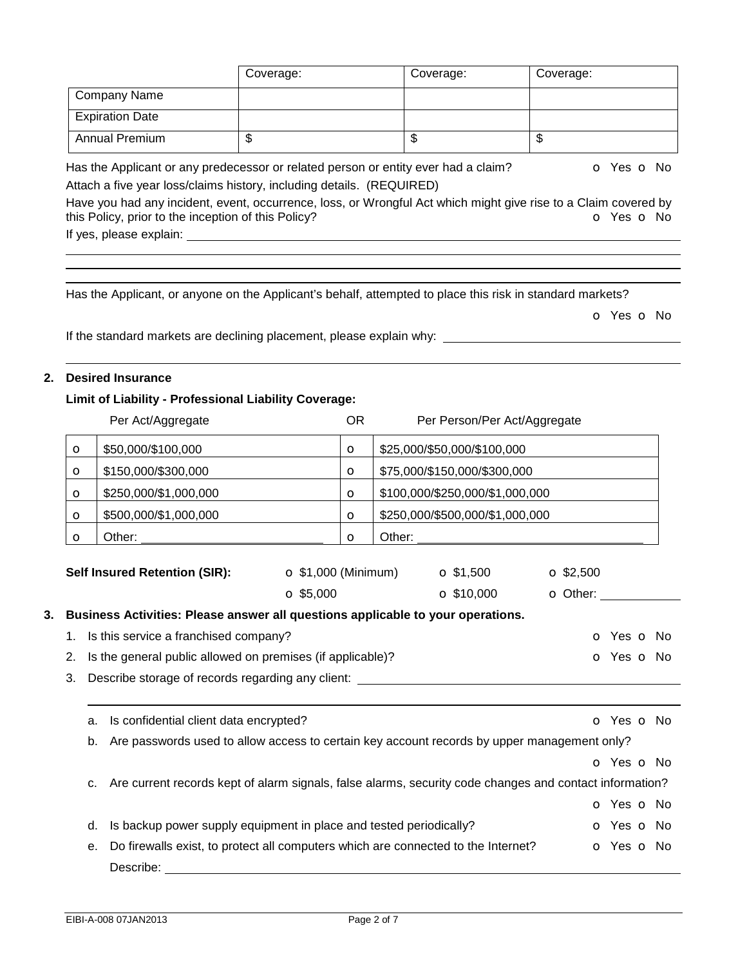|         |                                                                                                                                                                                                                    | Coverage:                   |           |                         | Coverage:                       | Coverage:                                                                                                                                   |
|---------|--------------------------------------------------------------------------------------------------------------------------------------------------------------------------------------------------------------------|-----------------------------|-----------|-------------------------|---------------------------------|---------------------------------------------------------------------------------------------------------------------------------------------|
|         | Company Name                                                                                                                                                                                                       |                             |           |                         |                                 |                                                                                                                                             |
|         | <b>Expiration Date</b>                                                                                                                                                                                             |                             |           |                         |                                 |                                                                                                                                             |
|         | <b>Annual Premium</b>                                                                                                                                                                                              | $\overline{\mathcal{S}}$    |           | $\overline{\mathbb{S}}$ |                                 | $\overline{\mathcal{S}}$                                                                                                                    |
|         | Has the Applicant or any predecessor or related person or entity ever had a claim?<br>Attach a five year loss/claims history, including details. (REQUIRED)<br>this Policy, prior to the inception of this Policy? |                             |           |                         |                                 | o Yes o No<br>Have you had any incident, event, occurrence, loss, or Wrongful Act which might give rise to a Claim covered by<br>O Yes O No |
|         | Has the Applicant, or anyone on the Applicant's behalf, attempted to place this risk in standard markets?<br>If the standard markets are declining placement, please explain why: _______________________________  |                             |           |                         |                                 | o Yes o No                                                                                                                                  |
|         | <b>Desired Insurance</b>                                                                                                                                                                                           |                             |           |                         |                                 |                                                                                                                                             |
|         | Limit of Liability - Professional Liability Coverage:<br>Per Act/Aggregate                                                                                                                                         |                             | <b>OR</b> |                         | Per Person/Per Act/Aggregate    |                                                                                                                                             |
| $\circ$ | \$50,000/\$100,000                                                                                                                                                                                                 |                             | $\circ$   |                         | \$25,000/\$50,000/\$100,000     |                                                                                                                                             |
| $\circ$ | \$150,000/\$300,000                                                                                                                                                                                                |                             | $\circ$   |                         | \$75,000/\$150,000/\$300,000    |                                                                                                                                             |
| $\circ$ | \$250,000/\$1,000,000                                                                                                                                                                                              |                             | $\circ$   |                         | \$100,000/\$250,000/\$1,000,000 |                                                                                                                                             |
| $\circ$ | \$500,000/\$1,000,000                                                                                                                                                                                              |                             | $\Omega$  |                         | \$250,000/\$500,000/\$1,000,000 |                                                                                                                                             |
| $\circ$ | Other:                                                                                                                                                                                                             |                             | $\Omega$  | Other:                  |                                 |                                                                                                                                             |
|         | <b>Self Insured Retention (SIR):</b>                                                                                                                                                                               | $\bullet$ \$1,000 (Minimum) |           |                         | $\bullet$ \$1,500               | $\Omega$ \$2,500                                                                                                                            |
|         |                                                                                                                                                                                                                    | $\Omega$ \$5,000            |           |                         | $\Omega$ \$10,000               | O Other:                                                                                                                                    |
|         | Business Activities: Please answer all questions applicable to your operations.                                                                                                                                    |                             |           |                         |                                 |                                                                                                                                             |
|         | 1. Is this service a franchised company?                                                                                                                                                                           |                             |           |                         |                                 | O Yes O No                                                                                                                                  |

- 2. Is the general public allowed on premises (if applicable)? **o Society** o Yes o No
- 3. Describe storage of records regarding any client:

| a.             | Is confidential client data encrypted?                                                                  | O Yes O No |
|----------------|---------------------------------------------------------------------------------------------------------|------------|
| b.             | Are passwords used to allow access to certain key account records by upper management only?             |            |
|                |                                                                                                         | O Yes O No |
| C <sub>1</sub> | Are current records kept of alarm signals, false alarms, security code changes and contact information? |            |
|                |                                                                                                         | O Yes O No |
| d.             | Is backup power supply equipment in place and tested periodically?                                      | O Yes O No |
| e.             | Do firewalls exist, to protect all computers which are connected to the Internet?                       | O Yes O No |
|                | Describe:                                                                                               |            |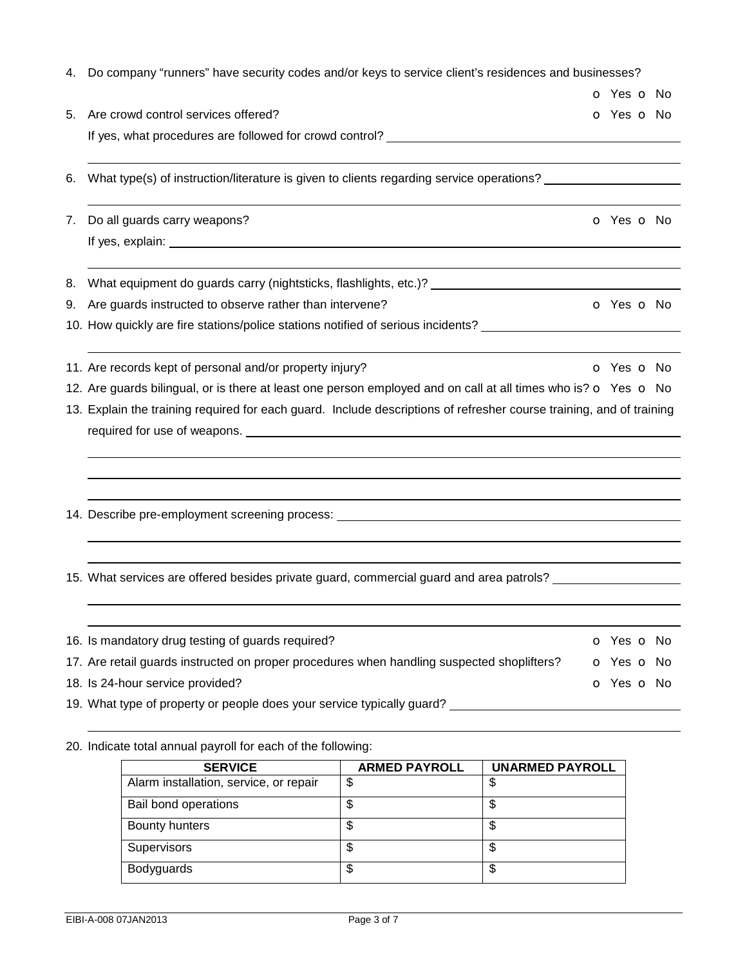|    | 4. Do company "runners" have security codes and/or keys to service client's residences and businesses?               |  |  |  |            |
|----|----------------------------------------------------------------------------------------------------------------------|--|--|--|------------|
|    |                                                                                                                      |  |  |  | o Yes o No |
| 5. | Are crowd control services offered?                                                                                  |  |  |  | o Yes o No |
|    |                                                                                                                      |  |  |  |            |
|    |                                                                                                                      |  |  |  |            |
| 6. | What type(s) of instruction/literature is given to clients regarding service operations?                             |  |  |  |            |
| 7. | Do all guards carry weapons?                                                                                         |  |  |  | o Yes o No |
|    |                                                                                                                      |  |  |  |            |
| 8. |                                                                                                                      |  |  |  |            |
| 9. | Are guards instructed to observe rather than intervene?                                                              |  |  |  | o Yes o No |
|    | 10. How quickly are fire stations/police stations notified of serious incidents? _________________________           |  |  |  |            |
|    | 11. Are records kept of personal and/or property injury?                                                             |  |  |  | o Yes o No |
|    | 12. Are guards bilingual, or is there at least one person employed and on call at all times who is? o Yes o No       |  |  |  |            |
|    | 13. Explain the training required for each guard. Include descriptions of refresher course training, and of training |  |  |  |            |
|    |                                                                                                                      |  |  |  |            |
|    |                                                                                                                      |  |  |  |            |
|    | 14. Describe pre-employment screening process: _________________________________                                     |  |  |  |            |
|    |                                                                                                                      |  |  |  |            |
|    | 15. What services are offered besides private guard, commercial guard and area patrols? __________________           |  |  |  |            |
|    |                                                                                                                      |  |  |  |            |
|    | 16. Is mandatory drug testing of guards required?                                                                    |  |  |  | o Yes o No |
|    | 17. Are retail guards instructed on proper procedures when handling suspected shoplifters?                           |  |  |  | o Yes o No |
|    | 18. Is 24-hour service provided?                                                                                     |  |  |  | o Yes o No |
|    | 19. What type of property or people does your service typically guard?                                               |  |  |  |            |
|    |                                                                                                                      |  |  |  |            |

20. Indicate total annual payroll for each of the following:

| <b>SERVICE</b>                         | <b>ARMED PAYROLL</b> | <b>UNARMED PAYROLL</b> |
|----------------------------------------|----------------------|------------------------|
| Alarm installation, service, or repair | \$                   | \$                     |
| Bail bond operations                   | \$                   | \$                     |
| Bounty hunters                         | \$                   | \$                     |
| <b>Supervisors</b>                     | \$                   | \$                     |
| <b>Bodyguards</b>                      | \$                   | \$                     |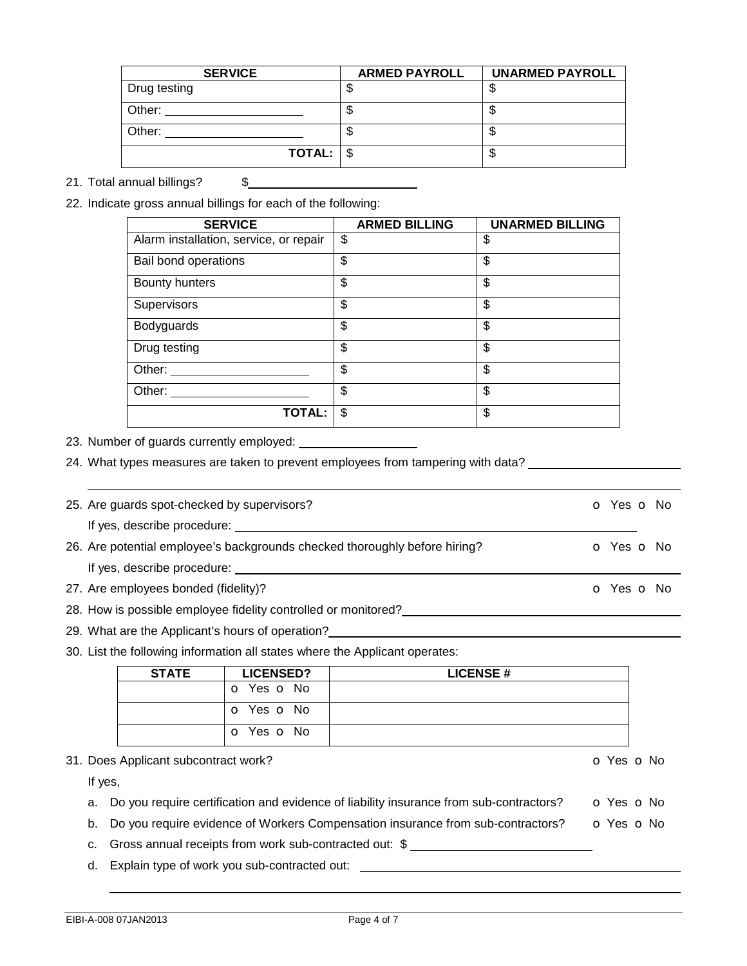| <b>SERVICE</b>         | <b>ARMED PAYROLL</b> | <b>UNARMED PAYROLL</b> |
|------------------------|----------------------|------------------------|
| Drug testing           |                      |                        |
| Other:                 | ٨IJ                  | ۰D                     |
| Other:                 | ۰D                   | ۰D                     |
| $TOTAL:$ $\frac{6}{3}$ |                      | ۰D                     |

### 21. Total annual billings? \$

22. Indicate gross annual billings for each of the following:

| <b>SERVICE</b>                         | <b>ARMED BILLING</b> | <b>UNARMED BILLING</b> |
|----------------------------------------|----------------------|------------------------|
| Alarm installation, service, or repair | \$                   | \$                     |
| Bail bond operations                   | \$                   | \$                     |
| <b>Bounty hunters</b>                  | \$                   | \$                     |
| Supervisors                            | \$                   | \$                     |
| Bodyguards                             | \$                   | \$                     |
| Drug testing                           | \$                   | \$                     |
| Other: $\overline{\phantom{a}}$        | \$                   | \$                     |
| Other:                                 | \$                   | \$                     |
| <b>TOTAL:</b>                          | \$                   | \$                     |

23. Number of guards currently employed:

24. What types measures are taken to prevent employees from tampering with data? \_\_\_\_\_\_\_\_\_\_\_\_\_\_\_\_\_\_\_\_\_\_\_\_\_\_\_\_

| O Yes O No                                                                                                                                                                                                                                                                                                             |
|------------------------------------------------------------------------------------------------------------------------------------------------------------------------------------------------------------------------------------------------------------------------------------------------------------------------|
|                                                                                                                                                                                                                                                                                                                        |
| O Yes O No                                                                                                                                                                                                                                                                                                             |
|                                                                                                                                                                                                                                                                                                                        |
| O Yes O No                                                                                                                                                                                                                                                                                                             |
|                                                                                                                                                                                                                                                                                                                        |
|                                                                                                                                                                                                                                                                                                                        |
| 25. Are guards spot-checked by supervisors?<br>If yes, describe procedure:<br>26. Are potential employee's backgrounds checked thoroughly before hiring?<br>27. Are employees bonded (fidelity)?<br>28. How is possible employee fidelity controlled or monitored?<br>29. What are the Applicant's hours of operation? |

30. List the following information all states where the Applicant operates:

| <b>STATE</b> | <b>LICENSED?</b> | <b>LICENSE#</b> |  |
|--------------|------------------|-----------------|--|
|              | o Yes o No       |                 |  |
|              | O Yes O No       |                 |  |
|              | O Yes O No       |                 |  |

#### 31. Does Applicant subcontract work? **31. Does Applicant subcontract work?**

If yes,

- a. Do you require certification and evidence of liability insurance from sub-contractors?  $\bullet$  Yes  $\bullet$  No
- b. Do you require evidence of Workers Compensation insurance from sub-contractors?  $\bullet$  Yes  $\bullet$  No
- c. Gross annual receipts from work sub-contracted out: \$
- d. Explain type of work you sub-contracted out: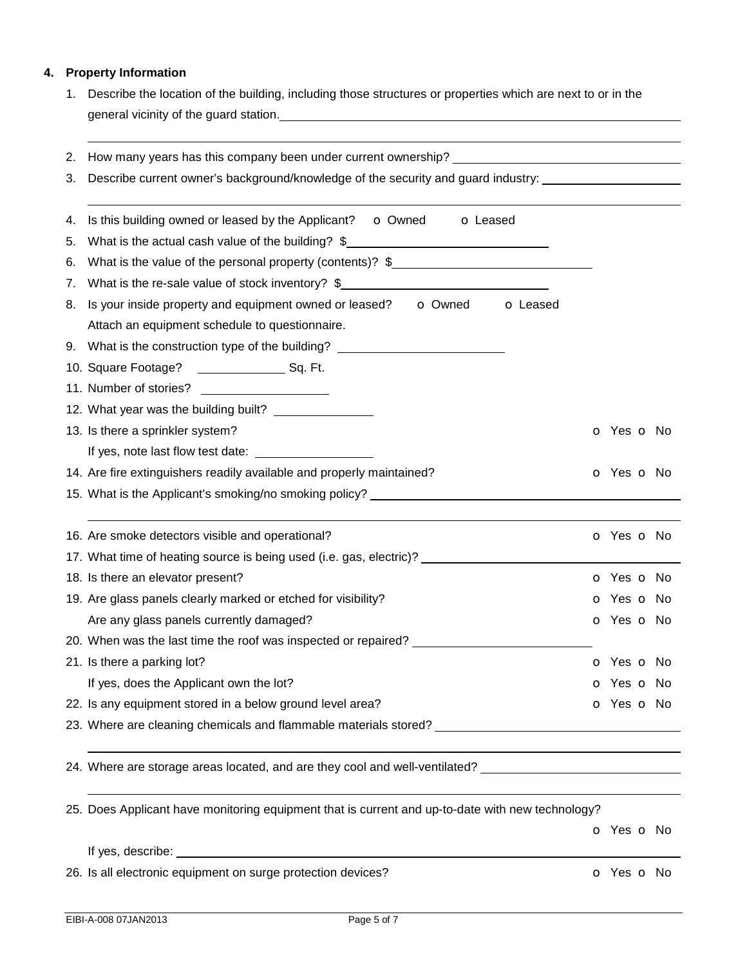## **4. Property Information**

1. Describe the location of the building, including those structures or properties which are next to or in the general vicinity of the guard station.

| 3.             | 2. How many years has this company been under current ownership? ___________________________________<br>Describe current owner's background/knowledge of the security and guard industry:                                      |                          |  |
|----------------|--------------------------------------------------------------------------------------------------------------------------------------------------------------------------------------------------------------------------------|--------------------------|--|
| 4.<br>5.<br>6. | Is this building owned or leased by the Applicant? o Owned<br><b>o</b> Leased<br>What is the actual cash value of the building? \$<br>What is the value of the personal property (contents)? $\frac{1}{2}$                     |                          |  |
|                | 7. What is the re-sale value of stock inventory? \$______________________________                                                                                                                                              |                          |  |
|                | 8. Is your inside property and equipment owned or leased? o Owned o Leased                                                                                                                                                     |                          |  |
|                | Attach an equipment schedule to questionnaire.                                                                                                                                                                                 |                          |  |
|                | 9. What is the construction type of the building? ______________________________                                                                                                                                               |                          |  |
|                |                                                                                                                                                                                                                                |                          |  |
|                |                                                                                                                                                                                                                                |                          |  |
|                |                                                                                                                                                                                                                                |                          |  |
|                | 13. Is there a sprinkler system?                                                                                                                                                                                               | <b>o</b> Yes <b>o</b> No |  |
|                |                                                                                                                                                                                                                                |                          |  |
|                | 14. Are fire extinguishers readily available and properly maintained?                                                                                                                                                          | <b>o</b> Yes <b>o</b> No |  |
|                | 15. What is the Applicant's smoking/no smoking policy? Noting the matter of the control of the control of the control of the control of the control of the control of the control of the control of the control of the control |                          |  |
|                | 16. Are smoke detectors visible and operational?                                                                                                                                                                               | o Yes o No               |  |
|                | 17. What time of heating source is being used (i.e. gas, electric)? _____________                                                                                                                                              |                          |  |
|                | 18. Is there an elevator present?                                                                                                                                                                                              | <b>o</b> Yes <b>o</b> No |  |
|                | 19. Are glass panels clearly marked or etched for visibility?                                                                                                                                                                  | o Yes o No               |  |
|                | Are any glass panels currently damaged?                                                                                                                                                                                        | O Yes O No               |  |
|                | 20. When was the last time the roof was inspected or repaired? _________________                                                                                                                                               |                          |  |
|                | 21. Is there a parking lot?                                                                                                                                                                                                    | <b>o</b> Yes <b>o</b> No |  |
|                | If yes, does the Applicant own the lot?                                                                                                                                                                                        | O Yes O No               |  |
|                | 22. Is any equipment stored in a below ground level area?                                                                                                                                                                      | O Yes O No               |  |
|                | 23. Where are cleaning chemicals and flammable materials stored? __________________________________                                                                                                                            |                          |  |
|                | 24. Where are storage areas located, and are they cool and well-ventilated? ________________________                                                                                                                           |                          |  |
|                | 25. Does Applicant have monitoring equipment that is current and up-to-date with new technology?                                                                                                                               |                          |  |
|                |                                                                                                                                                                                                                                | o Yes o No               |  |
|                |                                                                                                                                                                                                                                |                          |  |

26. Is all electronic equipment on surge protection devices? **o COV** o Yes o No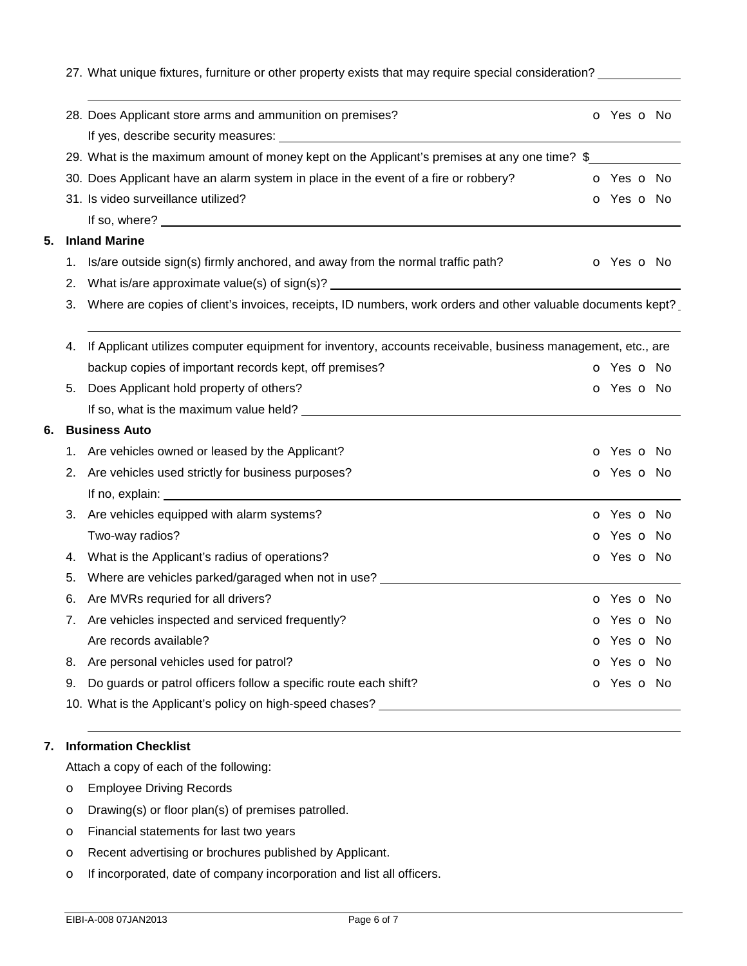27. What unique fixtures, furniture or other property exists that may require special consideration?

|    |    | 28. Does Applicant store arms and ammunition on premises?                                                   |  | o Yes o No               |
|----|----|-------------------------------------------------------------------------------------------------------------|--|--------------------------|
|    |    |                                                                                                             |  |                          |
|    |    | 29. What is the maximum amount of money kept on the Applicant's premises at any one time? \$                |  |                          |
|    |    | 30. Does Applicant have an alarm system in place in the event of a fire or robbery?                         |  | <b>O</b> Yes <b>O</b> No |
|    |    | 31. Is video surveillance utilized?                                                                         |  | o Yes o No               |
|    |    |                                                                                                             |  |                          |
| 5. |    | <b>Inland Marine</b>                                                                                        |  |                          |
|    | 1. | Is/are outside sign(s) firmly anchored, and away from the normal traffic path?                              |  | <b>o</b> Yes <b>o</b> No |
|    | 2. |                                                                                                             |  |                          |
|    | 3. | Where are copies of client's invoices, receipts, ID numbers, work orders and other valuable documents kept? |  |                          |
|    |    |                                                                                                             |  |                          |
|    | 4. | If Applicant utilizes computer equipment for inventory, accounts receivable, business management, etc., are |  |                          |
|    |    | backup copies of important records kept, off premises?                                                      |  | o Yes o No               |
|    |    | 5. Does Applicant hold property of others?                                                                  |  | o Yes o No               |
|    |    |                                                                                                             |  |                          |
| 6. |    | <b>Business Auto</b>                                                                                        |  |                          |
|    |    | 1. Are vehicles owned or leased by the Applicant?                                                           |  | o Yes o No               |
|    | 2. | Are vehicles used strictly for business purposes?                                                           |  | o Yes o No               |
|    |    |                                                                                                             |  |                          |
|    | 3. | Are vehicles equipped with alarm systems?                                                                   |  | o Yes o No               |
|    |    | Two-way radios?                                                                                             |  | o Yes o No               |
|    | 4. | What is the Applicant's radius of operations?                                                               |  | o Yes o No               |
|    | 5. | Where are vehicles parked/garaged when not in use?                                                          |  |                          |
|    | 6. | Are MVRs requried for all drivers?                                                                          |  | o Yes o No               |
|    | 7. | Are vehicles inspected and serviced frequently?                                                             |  | o Yes o No               |
|    |    | Are records available?                                                                                      |  | o Yes o No               |
|    | 8. | Are personal vehicles used for patrol?                                                                      |  | o Yes o No               |
|    | 9. | Do guards or patrol officers follow a specific route each shift?                                            |  | o Yes o No               |
|    |    | 10. What is the Applicant's policy on high-speed chases?                                                    |  |                          |
|    |    |                                                                                                             |  |                          |

## **7. Information Checklist**

Attach a copy of each of the following:

- o Employee Driving Records
- o Drawing(s) or floor plan(s) of premises patrolled.
- o Financial statements for last two years
- o Recent advertising or brochures published by Applicant.
- o If incorporated, date of company incorporation and list all officers.